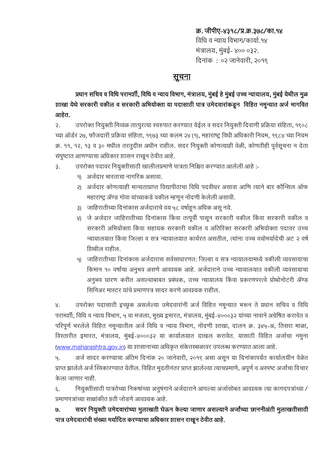## क्र. जीपीए-४३१८/प्र.क्र.३७८/का.१४

विधि व न्याय विभाग/कार्या.१४ मंत्रालय, मुंबई- ४०० ०३२. विनांक : 02 जानेिारी, 2019

# <u>सूचना</u>

प्रधान सचिव व विधि परामर्शी, विधि व न्याय विभाग, मंत्रालय, मुंबई हे मुंबई उच्च न्यायालय, मुंबई येथील मुळ शाखा येथे सरकारी वकील व सरकारी अभियोक्ता या पदासाठी पात्र उमेदवारांकडून विहित नमून्यात अर्ज मागवित आहेत.

२. उपरोक्त नियुक्ती निव्वळ तात्पुरत्या स्वरुपात करण्यात येईल व सदर नियुक्ती दिवाणी प्रक्रिया संहिता, १९०८ च्या ऑर्डर २७, फौजदारी प्रक्रिया संहिता, १९७३ च्या कलम २४ (१), महाराष्ट्र विधी अधिकारी नियम, १९८४ च्या नियम क्र. ११, १२, १३ व ३० मधील तरतुदीस अधीन राहील. सदर नियुक्ती कोणत्याही वेळी, कोणतीही पूर्वसूचना न देता संपुष्टात आणण्याचा अधिकार शासन राखून ठेवीत आहे.

- 3. उपरोक्त पिािर वनय क्तीसाठी खालीलप्रमाणे पात्रता वनवित करण्यात आलेली आहे:-
	- १) अर्जदार भारताचा नागरिक असावा.
	- २) अर्जदार कोणत्याही मान्यताप्राप्त विद्यापीठाचा विधि पदवीधर असावा आणि त्याने बार कौन्सिल ऑफ महाराष्ट्र ॲण्ड गोवा यांच्याकडे वकील म्हणून नोंदणी केलेली असावी.
	- ३) जाहिरातीच्या दिनांकास अर्जदाराचे वय ५८ वर्षाहून अधिक असू नये.
	- ४) जे अर्जदार जाहिरातीच्या दिनांकास किंवा तत्पूर्वी पासून सरकारी वकील किंवा सरकारी वकील व सरकारी अभियोक्ता किंवा सहायक सरकारी वकील व अतिरिक्त सरकारी अभियोक्ता पदावर उच्च न्यायालयात किंवा जिल्हा व सत्र न्यायालयात कार्यरत असतील, त्यांना उच्च वयोमर्यादेची अट २ वर्ष वर्शथील राहील.
	- ५) जाहिरातीच्या दिनांकास अर्जदारास सर्वसाधारणत: जिल्हा व सत्र न्यायालयामध्ये वकीली व्यवसायाचा किमान १० वर्षांचा अनुभव असणे आवश्यक आहे. अर्जदाराने उच्च न्यायालयात वकीली व्यवसायाचा अनुभव धारण करीत असल्याबाबत प्रबंधक, उच्च न्यायालय किंवा प्रकरणपरत्वे प्रोथोनोटरी ॲण्ड सिनिअर मास्टर यांचे प्रमाणपत्र सादर करणे आवश्यक राहील.

४. उपरोक्त पदासाठी इच्छुक असलेल्या उमेदवारांनी अर्ज विहित नमून्यात भरून ते प्रधान सचिव व विधि परामर्शी, विधि व न्याय विभाग, ५ वा मजला, मुख्य इमारत, मंत्रालय, मुंबई-४०००३२ यांच्या नावाने अग्रेषित करावेत व परिपूर्ण भरलेले विहित नमून्यातील अर्ज विधि व न्याय विभाग, नोंदणी शाखा, दालन क्र. 3४५-अ, तिसरा माळा, विस्तारीत इमारत, मंत्रालय, मुंबई-४०००३२ या कार्यालयात दाखल करावेत. यासाठी विहित अर्जाचा नमुना ([www.maharashtra.gov.in](http://www.maharashtra.gov.in/)) या शासानाच्या अधिकृत संकेतस्थळावर उपलब्ध करण्यात आला आहे.

५. अर्ज सादर करण्याचा अंतिम दिनांक २० जानेवारी, २०१९ असा असून या दिनांकापर्यंत कार्यालयीन वेळेत प्राप्त झालेले अर्ज स्विकारण्यात येतील. विहित मुदतीनंतर प्राप्त झालेल्या त्याचप्रमाणे, अपूर्ण व अस्पष्ट अर्जांचा विचार के ला जाणार नाही.

६. वियुक्तीसाठी पात्रतेच्या निकषांच्या अनुषंगाने अर्जदाराने आपल्या अर्जासोबत आवश्यक त्या कागदपत्रांच्या / प्रमाणपत्रांच्या साक्षांकीत प्रती जोडणे आवश्यक आहे.

सदर नियुक्ती उमेदवारांच्या मुलाखती घेऊन केल्या जाणार असल्याने अर्जांच्या छाननीअंती मुलाखतीसाठी पात्र उमेदवारांची संख्या मर्यादित करण्याचा अधिकार शासन राखून ठेवीत आहे.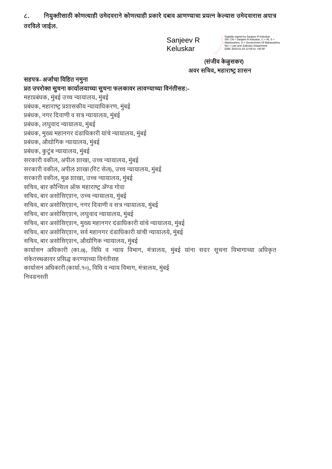८. व्यानियक्तीसाठी कोणत्याही उमेदवराने कोणत्याही प्रकारे दबाव आणण्याचा प्रयत्न केल्यास उमेदवारास अपात्र  $\epsilon$ ठरविले जाईल.

> Sanjeev R Keluskar

Digitally signed by Sanjeev R Keluskar DN: CN = Sanjeev R Keluskar, C = IN, S = Maharashtra, O = Government Of Maharashtra, OU = Law and Judiciary Department Date: 2019.01.03 12:59:41 +05'30'

(संजीव केळूसकर) अवर सचिव, महाराष्ट्र शासन

# सहपत्र- अर्जाचा विहित नमुना

प्रत उपरोक्त सूचना कार्यालयाच्या सूचना फलकावर लावण्याच्या विनंतीसह:-

महाप्रबंधक, मुंबई उच्च न्यायालय, मुंबई प्रबंधक, महाराष्ट्र प्रशासकीय न्यायाधिकरण, मुंबई प्रबंधक, नगर दिवाणी व सत्र न्यायालय, मुंबई प्रबंधक, लघुवाद न्यायालय, मुंबई प्रबंधक, मुख्य महानगर दंडाधिकारी यांचे न्यायालय, मुंबई प्रबंधक, औद्योगिक न्यायालय, मुंबई प्रबंधक, कुटूंब न्यायालय, मुंबई सरकारी वकील, अपील शाखा, उच्च न्यायालय, मुंबई सरकारी वकील, अपील शाखा (रिट सेल), उच्च न्यायालय, मुंबई सरकारी वकील, मूळ शाखा, उच्च न्यायालय, मुंबई सचिव, बार कौन्सिल ऑफ महाराष्ट्र ॲण्ड गोवा सचिव, बार असोसिएशन, उच्च न्यायालय, मुंबई सचिव, बार असोसिएशन, नगर दिवाणी व सत्र न्यायालय, मुंबई सचिव, बार असोसिएशन, लघुवाद न्यायालय, मुंबई सचिव, बार असोसिएशन, मुख्य महानगर दंडाधिकारी यांचे न्यायालय, मुंबई सचिव, बार असोसिएशन, सर्व महानगर दंडाधिकारी यांची न्यायालये, मुंबई सचिव, बार असोसिएशन, औद्योगिक न्यायालय, मुंबई कार्यासन अधिकारी (का.७), विधि व न्याय विभाग, मंत्रालय, मुंबई यांना सदर सूचना विभागाच्या अधिकृत संकेतस्थळावर प्रसिद्ध करण्याच्या विनंतीसह कार्यासन अधिकारी (कार्या.१०), विधि व न्याय विभाग, मंत्रालय, मुंबई वनिडनस्ती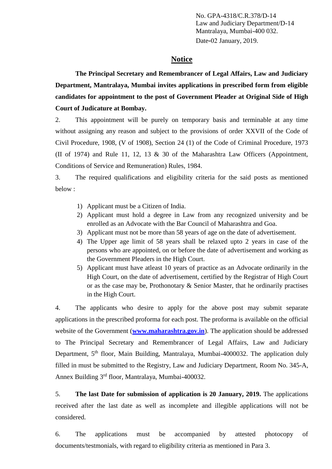No. GPA-4318/C.R.378/D-14 Law and Judiciary Department/D-14 Mantralaya, Mumbai-400 032. Date-02 January, 2019.

### **Notice**

**The Principal Secretary and Remembrancer of Legal Affairs, Law and Judiciary Department, Mantralaya, Mumbai invites applications in prescribed form from eligible candidates for appointment to the post of Government Pleader at Original Side of High Court of Judicature at Bombay.**

2. This appointment will be purely on temporary basis and terminable at any time without assigning any reason and subject to the provisions of order XXVII of the Code of Civil Procedure, 1908, (V of 1908), Section 24 (1) of the Code of Criminal Procedure, 1973 (II of 1974) and Rule 11, 12, 13 & 30 of the Maharashtra Law Officers (Appointment, Conditions of Service and Remuneration) Rules, 1984.

3. The required qualifications and eligibility criteria for the said posts as mentioned below :

- 1) Applicant must be a Citizen of India.
- 2) Applicant must hold a degree in Law from any recognized university and be enrolled as an Advocate with the Bar Council of Maharashtra and Goa.
- 3) Applicant must not be more than 58 years of age on the date of advertisement.
- 4) The Upper age limit of 58 years shall be relaxed upto 2 years in case of the persons who are appointed, on or before the date of advertisement and working as the Government Pleaders in the High Court.
- 5) Applicant must have atleast 10 years of practice as an Advocate ordinarily in the High Court, on the date of advertisement, certified by the Registrar of High Court or as the case may be, Prothonotary  $\&$  Senior Master, that he ordinarily practises in the High Court.

4. The applicants who desire to apply for the above post may submit separate applications in the prescribed proforma for each post. The proforma is available on the official website of the Government (**[www.maharashtra.gov.in](http://www.maharashtra.gov.in/)**). The application should be addressed to The Principal Secretary and Remembrancer of Legal Affairs, Law and Judiciary Department, 5<sup>th</sup> floor, Main Building, Mantralaya, Mumbai-4000032. The application duly filled in must be submitted to the Registry, Law and Judiciary Department, Room No. 345-A, Annex Building 3rd floor, Mantralaya, Mumbai-400032.

5. **The last Date for submission of application is 20 January, 2019.** The applications received after the last date as well as incomplete and illegible applications will not be considered.

6. The applications must be accompanied by attested photocopy of documents/testmonials, with regard to eligibility criteria as mentioned in Para 3.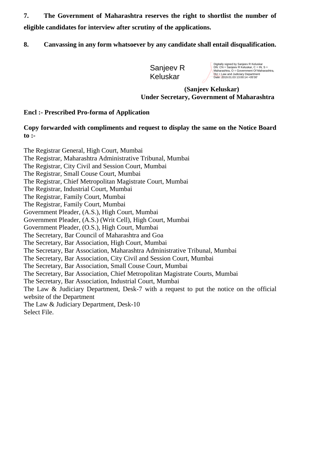**7. The Government of Maharashtra reserves the right to shortlist the number of eligible candidates for interview after scrutiny of the applications.**

## **8. Canvassing in any form whatsoever by any candidate shall entail disqualification.**

Sanjeev R Keluskar

Digitally signed by Sanjeev R Keluskar DN: CN = Sanjeev R Keluskar, C = IN, S = Maharashtra, O = Government Of Maharashtra, OU = Law and Judiciary Department Date: 2019.01.03 13:00:14 +05'30'

**(Sanjeev Keluskar) Under Secretary, Government of Maharashtra**

#### **Encl :- Prescribed Pro-forma of Application**

**Copy forwarded with compliments and request to display the same on the Notice Board to :-**

The Registrar General, High Court, Mumbai The Registrar, Maharashtra Administrative Tribunal, Mumbai The Registrar, City Civil and Session Court, Mumbai The Registrar, Small Couse Court, Mumbai The Registrar, Chief Metropolitan Magistrate Court, Mumbai The Registrar, Industrial Court, Mumbai The Registrar, Family Court, Mumbai The Registrar, Family Court, Mumbai Government Pleader, (A.S.), High Court, Mumbai Government Pleader, (A.S.) (Writ Cell), High Court, Mumbai Government Pleader, (O.S.), High Court, Mumbai The Secretary, Bar Council of Maharashtra and Goa The Secretary, Bar Association, High Court, Mumbai The Secretary, Bar Association, Maharashtra Administrative Tribunal, Mumbai The Secretary, Bar Association, City Civil and Session Court, Mumbai The Secretary, Bar Association, Small Couse Court, Mumbai The Secretary, Bar Association, Chief Metropolitan Magistrate Courts, Mumbai The Secretary, Bar Association, Industrial Court, Mumbai The Law & Judiciary Department, Desk-7 with a request to put the notice on the official website of the Department The Law & Judiciary Department, Desk-10 Select File.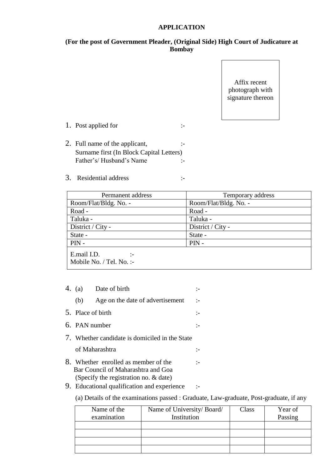#### **APPLICATION**

### **(For the post of Government Pleader, (Original Side) High Court of Judicature at Bombay**

Affix recent photograph with signature thereon

- 1. Post applied for :-
- 2. Full name of the applicant,  $\cdot$ Surname first (In Block Capital Letters) Father's/ Husband's Name :-
- 3. Residential address :-

| Permanent address                       | Temporary address     |
|-----------------------------------------|-----------------------|
| Room/Flat/Bldg. No. -                   | Room/Flat/Bldg. No. - |
| Road -                                  | Road -                |
| Taluka -                                | Taluka -              |
| District / City -                       | District / City -     |
| State -                                 | State -               |
| $PIN -$                                 | $PIN -$               |
| E.mail I.D.<br>Mobile No. / Tel. No. :- |                       |

- 4. (a) Date of birth :- (b) Age on the date of advertisement :- 5. Place of birth :- 6. PAN number :- 7. Whether candidate is domiciled in the State of Maharashtra :- 8. Whether enrolled as member of the :- Bar Council of Maharashtra and Goa (Specify the registration no. & date)
- 9. Educational qualification and experience :-

(a) Details of the examinations passed : Graduate, Law-graduate, Post-graduate, if any

| Name of the | Name of University/Board/ | Class | Year of |
|-------------|---------------------------|-------|---------|
| examination | Institution               |       | Passing |
|             |                           |       |         |
|             |                           |       |         |
|             |                           |       |         |
|             |                           |       |         |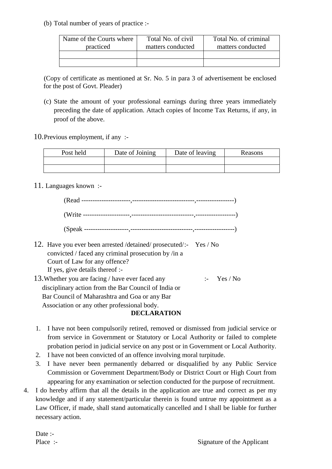(b) Total number of years of practice :-

| Name of the Courts where<br>practiced | Total No. of civil<br>matters conducted | Total No. of criminal<br>matters conducted |
|---------------------------------------|-----------------------------------------|--------------------------------------------|
|                                       |                                         |                                            |
|                                       |                                         |                                            |

(Copy of certificate as mentioned at Sr. No. 5 in para 3 of advertisement be enclosed for the post of Govt. Pleader)

- (c) State the amount of your professional earnings during three years immediately preceding the date of application. Attach copies of Income Tax Returns, if any, in proof of the above.
- 10.Previous employment, if any :-

| Post held | Date of Joining | Date of leaving | Reasons |
|-----------|-----------------|-----------------|---------|
|           |                 |                 |         |
|           |                 |                 |         |

11. Languages known :-

- 12. Have you ever been arrested /detained/ prosecuted/:- Yes / No convicted / faced any criminal prosecution by /in a Court of Law for any offence? If yes, give details thereof :-
- 13. Whether you are facing / have ever faced any :- Yes / No disciplinary action from the Bar Council of India or Bar Council of Maharashtra and Goa or any Bar Association or any other professional body. **DECLARATION**
- 1. I have not been compulsorily retired, removed or dismissed from judicial service or from service in Government or Statutory or Local Authority or failed to complete probation period in judicial service on any post or in Government or Local Authority.
- 2. I have not been convicted of an offence involving moral turpitude.
- 3. I have never been permanently debarred or disqualified by any Public Service Commission or Government Department/Body or District Court or High Court from appearing for any examination or selection conducted for the purpose of recruitment.
- 4. I do hereby affirm that all the details in the application are true and correct as per my knowledge and if any statement/particular therein is found untrue my appointment as a Law Officer, if made, shall stand automatically cancelled and I shall be liable for further necessary action.